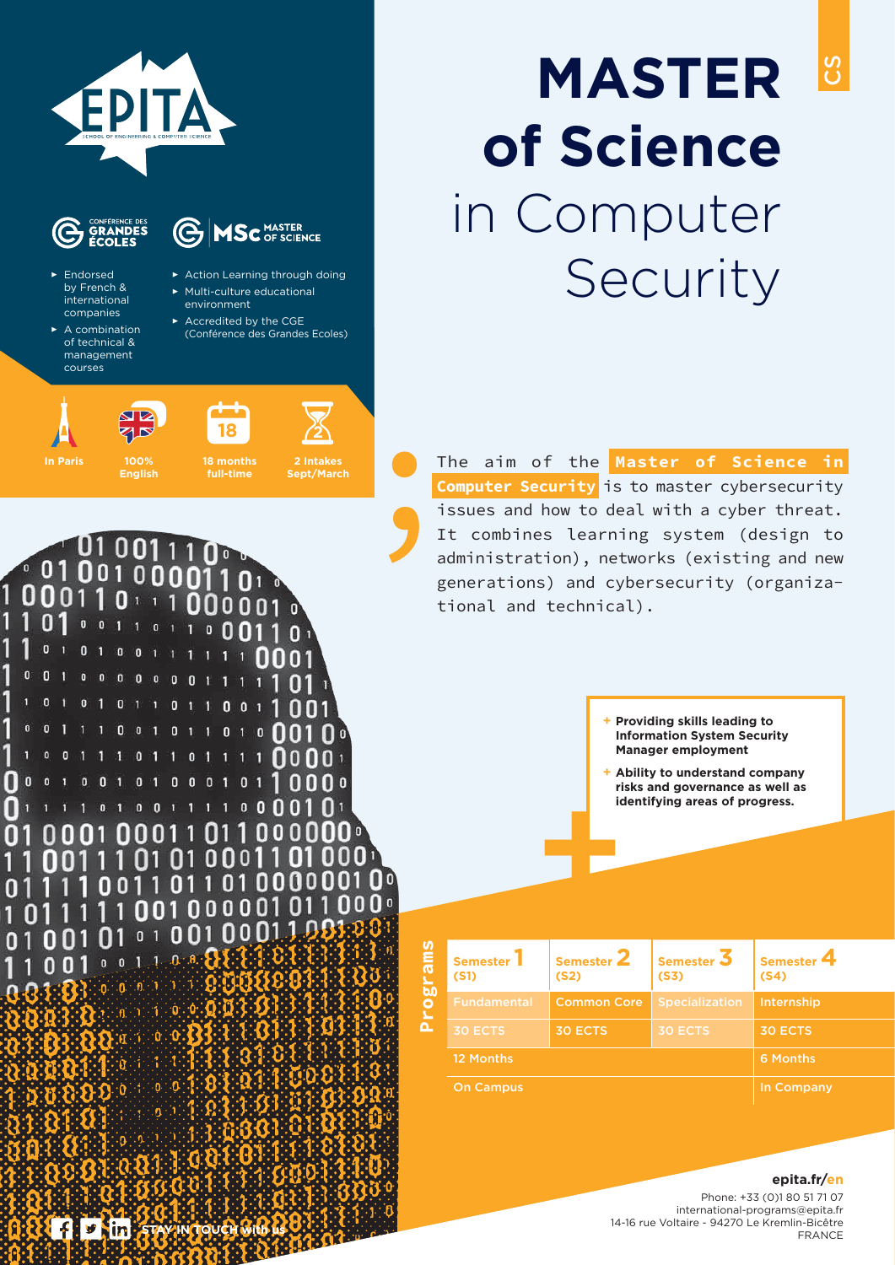

# **MASTER of Science** in Computer Security

CS

The aim of the **Master of Science in Computer Security** is to master cybersecurity issues and how to deal with a cyber threat. It combines learning system (design to administration), networks (existing and new generations) and cybersecurity (organizational and technical).

> + **Providing skills leading to Information System Security Manager employment**

**+** + **Ability to understand company risks and governance as well as identifying areas of progress.**

| <b>Semester</b><br>(S1) | Semester 2<br>(S <sub>2</sub> ) | Semester $\overline{3}$<br>(S3) | <b>Semester</b><br>(S4) |
|-------------------------|---------------------------------|---------------------------------|-------------------------|
| <b>Fundamental</b>      | <b>Common Core</b>              | <b>Specialization</b>           | Internship              |
| <b>30 ECTS</b>          | <b>30 ECTS</b>                  | <b>30 ECTS</b>                  | <b>30 ECTS</b>          |
| 12 Months               |                                 |                                 | 6 Months                |
| <b>On Campus</b>        | In Company                      |                                 |                         |

**alc Ja** 

#### **epita.fr/en**

Phone: +33 (0)1 80 51 71 07 international-programs@epita.fr 14-16 rue Voltaire - 94270 Le Kremlin-Bicêtre FRANCE